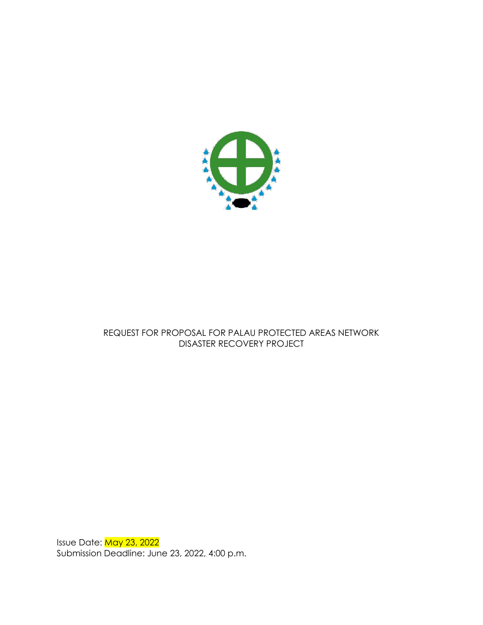

# REQUEST FOR PROPOSAL FOR PALAU PROTECTED AREAS NETWORK DISASTER RECOVERY PROJECT

Issue Date: <mark>May 23, 2022</mark> Submission Deadline: June 23, 2022, 4:00 p.m.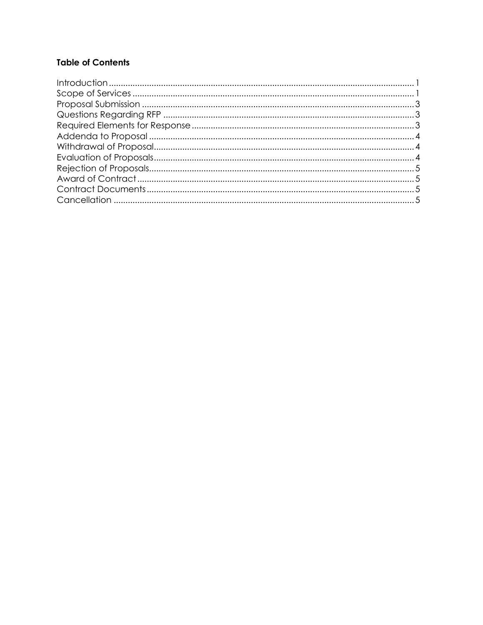# **Table of Contents**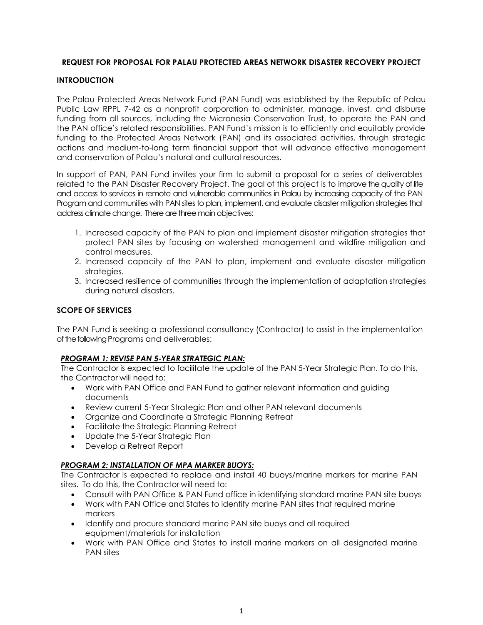# **REQUEST FOR PROPOSAL FOR PALAU PROTECTED AREAS NETWORK DISASTER RECOVERY PROJECT**

# **INTRODUCTION**

The Palau Protected Areas Network Fund (PAN Fund) was established by the Republic of Palau Public Law RPPL 7-42 as a nonprofit corporation to administer, manage, invest, and disburse funding from all sources, including the Micronesia Conservation Trust, to operate the PAN and the PAN office's related responsibilities. PAN Fund's mission is to efficiently and equitably provide funding to the Protected Areas Network (PAN) and its associated activities, through strategic actions and medium-to-long term financial support that will advance effective management and conservation of Palau's natural and cultural resources.

In support of PAN, PAN Fund invites your firm to submit a proposal for a series of deliverables related to the PAN Disaster Recovery Project. The goal of this project is to improve the quality of life and access to services in remote and vulnerable communities in Palau by increasing capacity of the PAN Program and communities with PAN sites to plan, implement, and evaluate disaster mitigation strategies that address climate change. There are three main objectives:

- 1. Increased capacity of the PAN to plan and implement disaster mitigation strategies that protect PAN sites by focusing on watershed management and wildfire mitigation and control measures.
- 2. Increased capacity of the PAN to plan, implement and evaluate disaster mitigation strategies.
- 3. Increased resilience of communities through the implementation of adaptation strategies during natural disasters.

# **SCOPE OF SERVICES**

The PAN Fund is seeking a professional consultancy (Contractor) to assist in the implementation of the following Programs and deliverables:

## *PROGRAM 1: REVISE PAN 5-YEAR STRATEGIC PLAN:*

The Contractor is expected to facilitate the update of the PAN 5-Year Strategic Plan. To do this, the Contractor will need to:

- Work with PAN Office and PAN Fund to gather relevant information and guiding documents
- Review current 5-Year Strategic Plan and other PAN relevant documents
- Organize and Coordinate a Strategic Planning Retreat
- Facilitate the Strategic Planning Retreat
- Update the 5-Year Strategic Plan
- Develop a Retreat Report

## *PROGRAM 2: INSTALLATION OF MPA MARKER BUOYS:*

The Contractor is expected to replace and install 40 buoys/marine markers for marine PAN sites. To do this, the Contractor will need to:

- Consult with PAN Office & PAN Fund office in identifying standard marine PAN site buoys
- Work with PAN Office and States to identify marine PAN sites that required marine markers
- Identify and procure standard marine PAN site buoys and all required equipment/materials for installation
- Work with PAN Office and States to install marine markers on all designated marine PAN sites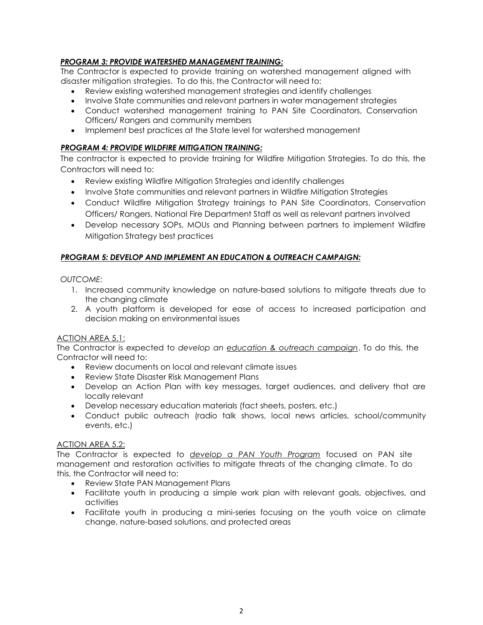# *PROGRAM 3: PROVIDE WATERSHED MANAGEMENT TRAINING:*

The Contractor is expected to provide training on watershed management aligned with disaster mitigation strategies. To do this, the Contractor will need to:

- Review existing watershed management strategies and identify challenges
- Involve State communities and relevant partners in water management strategies
- Conduct watershed management training to PAN Site Coordinators, Conservation Officers/ Rangers and community members
- Implement best practices at the State level for watershed management

# *PROGRAM 4: PROVIDE WILDFIRE MITIGATION TRAINING:*

The contractor is expected to provide training for Wildfire Mitigation Strategies. To do this, the Contractors will need to:

- Review existing Wildfire Mitigation Strategies and identify challenges
- Involve State communities and relevant partners in Wildfire Mitigation Strategies
- Conduct Wildfire Mitigation Strategy trainings to PAN Site Coordinators, Conservation Officers/ Rangers, National Fire Department Staff as well as relevant partners involved
- Develop necessary SOPs, MOUs and Planning between partners to implement Wildfire Mitigation Strategy best practices

# *PROGRAM 5: DEVELOP AND IMPLEMENT AN EDUCATION & OUTREACH CAMPAIGN:*

## *OUTCOME:*

- 1. Increased community knowledge on nature-based solutions to mitigate threats due to the changing climate
- 2. A youth platform is developed for ease of access to increased participation and decision making on environmental issues

## ACTION AREA 5.1:

The Contractor is expected to *develop an education & outreach campaign*. To do this, the Contractor will need to:

- Review documents on local and relevant climate issues
- Review State Disaster Risk Management Plans
- Develop an Action Plan with key messages, target audiences, and delivery that are locally relevant
- Develop necessary education materials (fact sheets, posters, etc.)
- Conduct public outreach (radio talk shows, local news articles, school/community events, etc.)

# ACTION AREA 5.2:

The Contractor is expected to *develop a PAN Youth Program* focused on PAN site management and restoration activities to mitigate threats of the changing climate. To do this, the Contractor will need to:

- Review State PAN Management Plans
- Facilitate youth in producing a simple work plan with relevant goals, objectives, and activities
- Facilitate youth in producing a mini-series focusing on the youth voice on climate change, nature-based solutions, and protected areas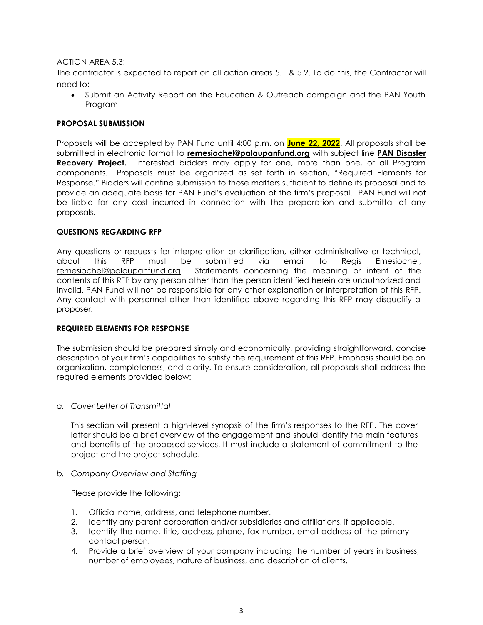## ACTION AREA 5.3:

The contractor is expected to report on all action areas 5.1 & 5.2. To do this, the Contractor will need to:

 Submit an Activity Report on the Education & Outreach campaign and the PAN Youth Program

## **PROPOSAL SUBMISSION**

Proposals will be accepted by PAN Fund until 4:00 p.m. on **June 22, 2022**. All proposals shall be submitted in electronic format to **[remesiochel@palaupanfund.org](mailto:remesiochel@palaupanfund.org)** with subject line **PAN Disaster Recovery Project.** Interested bidders may apply for one, more than one, or all Program components. Proposals must be organized as set forth in section, "Required Elements for Response." Bidders will confine submission to those matters sufficient to define its proposal and to provide an adequate basis for PAN Fund's evaluation of the firm's proposal. PAN Fund will not be liable for any cost incurred in connection with the preparation and submittal of any proposals.

## **QUESTIONS REGARDING RFP**

Any questions or requests for interpretation or clarification, either administrative or technical, about this RFP must be submitted via email to Regis Emesiochel, [remesiochel@palaupanfund.org.](mailto:remesiochel@palaupanfund.org) Statements concerning the meaning or intent of the contents of this RFP by any person other than the person identified herein are unauthorized and invalid. PAN Fund will not be responsible for any other explanation or interpretation of this RFP. Any contact with personnel other than identified above regarding this RFP may disqualify a proposer.

## **REQUIRED ELEMENTS FOR RESPONSE**

The submission should be prepared simply and economically, providing straightforward, concise description of your firm's capabilities to satisfy the requirement of this RFP. Emphasis should be on organization, completeness, and clarity. To ensure consideration, all proposals shall address the required elements provided below:

## *a. Cover Letter of Transmittal*

This section will present a high-level synopsis of the firm's responses to the RFP. The cover letter should be a brief overview of the engagement and should identify the main features and benefits of the proposed services. It must include a statement of commitment to the project and the project schedule.

#### *b. Company Overview and Staffing*

Please provide the following:

- 1. Official name, address, and telephone number.
- 2. Identify any parent corporation and/or subsidiaries and affiliations, if applicable.
- 3. Identify the name, title, address, phone, fax number, email address of the primary contact person.
- 4. Provide a brief overview of your company including the number of years in business, number of employees, nature of business, and description of clients.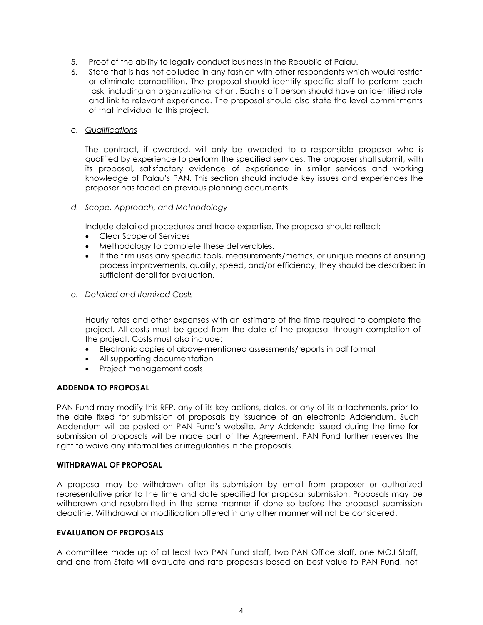- 5. Proof of the ability to legally conduct business in the Republic of Palau.
- 6. State that is has not colluded in any fashion with other respondents which would restrict or eliminate competition. The proposal should identify specific staff to perform each task, including an organizational chart. Each staff person should have an identified role and link to relevant experience. The proposal should also state the level commitments of that individual to this project.

#### *c. Qualifications*

The contract, if awarded, will only be awarded to a responsible proposer who is qualified by experience to perform the specified services. The proposer shall submit, with its proposal, satisfactory evidence of experience in similar services and working knowledge of Palau's PAN. This section should include key issues and experiences the proposer has faced on previous planning documents.

#### *d. Scope, Approach, and Methodology*

Include detailed procedures and trade expertise. The proposal should reflect:

- Clear Scope of Services
- Methodology to complete these deliverables.
- If the firm uses any specific tools, measurements/metrics, or unique means of ensuring process improvements, quality, speed, and/or efficiency, they should be described in sufficient detail for evaluation.

# *e. Detailed and Itemized Costs*

Hourly rates and other expenses with an estimate of the time required to complete the project. All costs must be good from the date of the proposal through completion of the project. Costs must also include:

- Electronic copies of above-mentioned assessments/reports in pdf format
- All supporting documentation
- Project management costs

#### **ADDENDA TO PROPOSAL**

PAN Fund may modify this RFP, any of its key actions, dates, or any of its attachments, prior to the date fixed for submission of proposals by issuance of an electronic Addendum. Such Addendum will be posted on PAN Fund's website. Any Addenda issued during the time for submission of proposals will be made part of the Agreement. PAN Fund further reserves the right to waive any informalities or irregularities in the proposals.

#### **WITHDRAWAL OF PROPOSAL**

A proposal may be withdrawn after its submission by email from proposer or authorized representative prior to the time and date specified for proposal submission. Proposals may be withdrawn and resubmitted in the same manner if done so before the proposal submission deadline. Withdrawal or modification offered in any other manner will not be considered.

#### **EVALUATION OF PROPOSALS**

A committee made up of at least two PAN Fund staff, two PAN Office staff, one MOJ Staff, and one from State will evaluate and rate proposals based on best value to PAN Fund, not